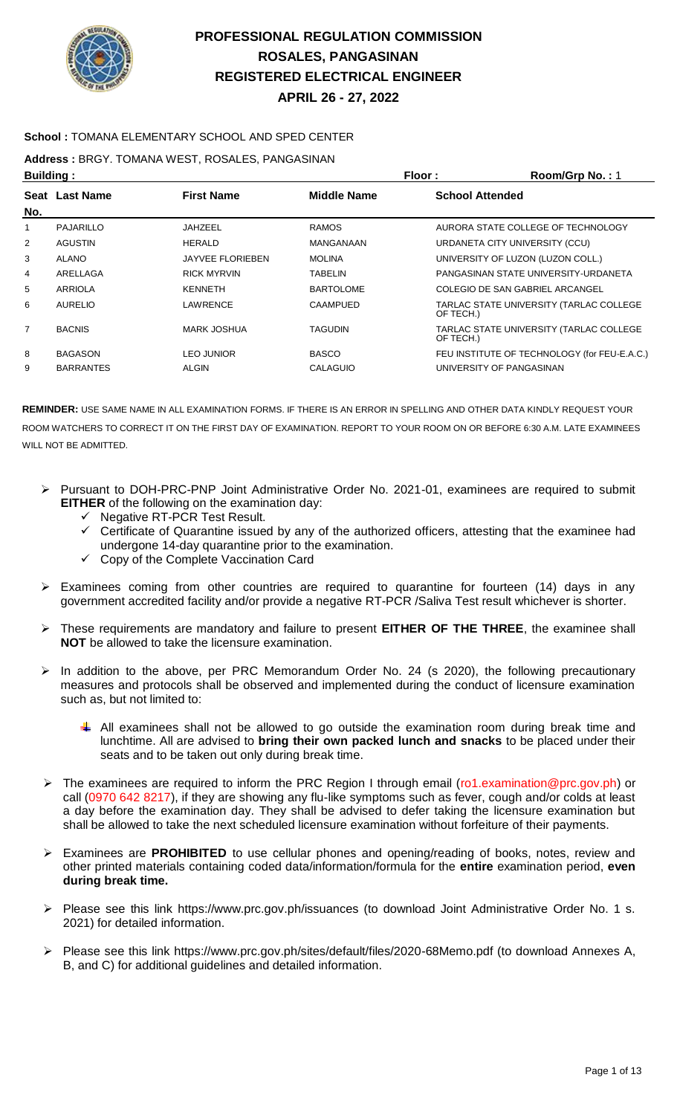

### **School :** TOMANA ELEMENTARY SCHOOL AND SPED CENTER

**Address :** BRGY. TOMANA WEST, ROSALES, PANGASINAN

| <b>Building:</b> |                       |                         | Floor:             | Room/Grp No.: 1                                      |
|------------------|-----------------------|-------------------------|--------------------|------------------------------------------------------|
| No.              | <b>Seat Last Name</b> | <b>First Name</b>       | <b>Middle Name</b> | <b>School Attended</b>                               |
| 1                | PAJARILLO             | JAHZEEL                 | <b>RAMOS</b>       | AURORA STATE COLLEGE OF TECHNOLOGY                   |
| $\overline{2}$   | <b>AGUSTIN</b>        | <b>HERALD</b>           | MANGANAAN          | URDANETA CITY UNIVERSITY (CCU)                       |
| 3                | <b>ALANO</b>          | <b>JAYVEE FLORIEBEN</b> | <b>MOLINA</b>      | UNIVERSITY OF LUZON (LUZON COLL.)                    |
| 4                | ARELLAGA              | <b>RICK MYRVIN</b>      | <b>TABELIN</b>     | PANGASINAN STATE UNIVERSITY-URDANETA                 |
| 5                | ARRIOLA               | KENNETH                 | <b>BARTOLOME</b>   | COLEGIO DE SAN GABRIEL ARCANGEL                      |
| 6                | AURELIO               | LAWRENCE                | CAAMPUED           | TARLAC STATE UNIVERSITY (TARLAC COLLEGE<br>OF TECH.) |
| $\overline{7}$   | <b>BACNIS</b>         | <b>MARK JOSHUA</b>      | <b>TAGUDIN</b>     | TARLAC STATE UNIVERSITY (TARLAC COLLEGE<br>OF TECH.) |
| 8                | <b>BAGASON</b>        | <b>LEO JUNIOR</b>       | <b>BASCO</b>       | FEU INSTITUTE OF TECHNOLOGY (for FEU-E.A.C.)         |
| 9                | <b>BARRANTES</b>      | <b>ALGIN</b>            | CALAGUIO           | UNIVERSITY OF PANGASINAN                             |

- Pursuant to DOH-PRC-PNP Joint Administrative Order No. 2021-01, examinees are required to submit **EITHER** of the following on the examination day:
	- Negative RT-PCR Test Result.
	- $\checkmark$  Certificate of Quarantine issued by any of the authorized officers, attesting that the examinee had undergone 14-day quarantine prior to the examination.
	- $\checkmark$  Copy of the Complete Vaccination Card
- Examinees coming from other countries are required to quarantine for fourteen (14) days in any government accredited facility and/or provide a negative RT-PCR /Saliva Test result whichever is shorter.
- These requirements are mandatory and failure to present **EITHER OF THE THREE**, the examinee shall **NOT** be allowed to take the licensure examination.
- In addition to the above, per PRC Memorandum Order No. 24 (s 2020), the following precautionary measures and protocols shall be observed and implemented during the conduct of licensure examination such as, but not limited to:
	- $\downarrow$  All examinees shall not be allowed to go outside the examination room during break time and lunchtime. All are advised to **bring their own packed lunch and snacks** to be placed under their seats and to be taken out only during break time.
- $\triangleright$  The examinees are required to inform the PRC Region I through email (ro1.examination@prc.gov.ph) or call (0970 642 8217), if they are showing any flu-like symptoms such as fever, cough and/or colds at least a day before the examination day. They shall be advised to defer taking the licensure examination but shall be allowed to take the next scheduled licensure examination without forfeiture of their payments.
- Examinees are **PROHIBITED** to use cellular phones and opening/reading of books, notes, review and other printed materials containing coded data/information/formula for the **entire** examination period, **even during break time.**
- Please see this link https://www.prc.gov.ph/issuances (to download Joint Administrative Order No. 1 s. 2021) for detailed information.
- Please see this link https://www.prc.gov.ph/sites/default/files/2020-68Memo.pdf (to download Annexes A, B, and C) for additional guidelines and detailed information.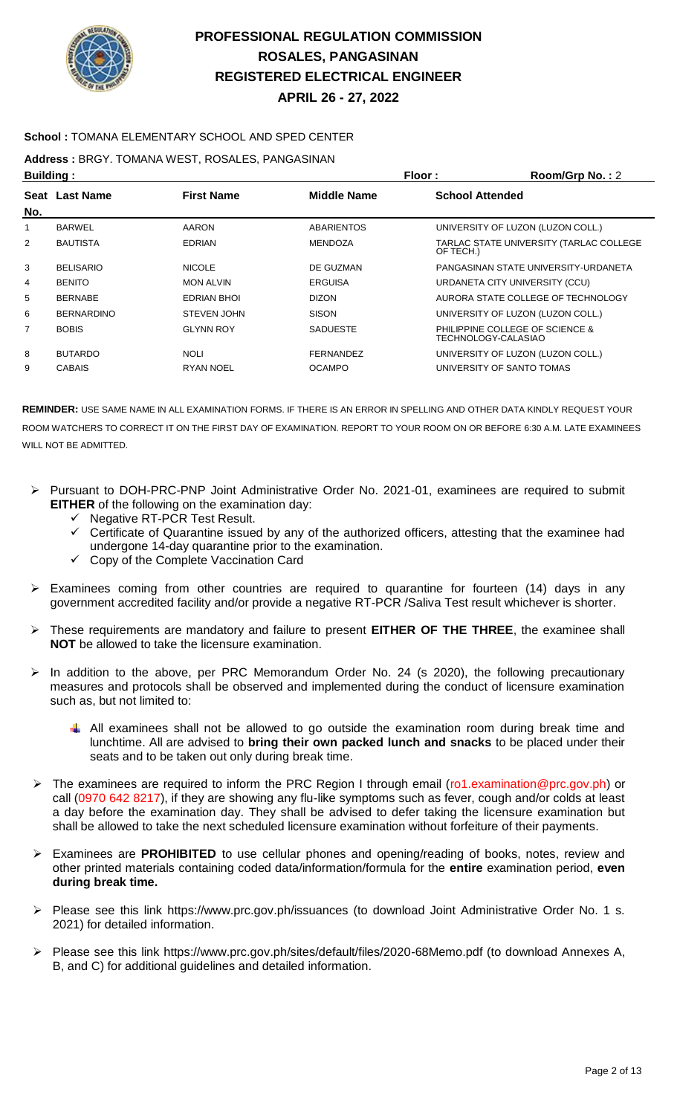

### **School :** TOMANA ELEMENTARY SCHOOL AND SPED CENTER

**Address :** BRGY. TOMANA WEST, ROSALES, PANGASINAN

| <b>Building:</b> |                   |                    | Floor:             | Room/Grp No.: 2                                        |
|------------------|-------------------|--------------------|--------------------|--------------------------------------------------------|
| No.              | Seat Last Name    | <b>First Name</b>  | <b>Middle Name</b> | <b>School Attended</b>                                 |
| 1                | <b>BARWEL</b>     | <b>AARON</b>       | <b>ABARIENTOS</b>  | UNIVERSITY OF LUZON (LUZON COLL.)                      |
| 2                | <b>BAUTISTA</b>   | <b>EDRIAN</b>      | <b>MENDOZA</b>     | TARLAC STATE UNIVERSITY (TARLAC COLLEGE<br>OF TECH.)   |
| 3                | <b>BELISARIO</b>  | <b>NICOLE</b>      | DE GUZMAN          | PANGASINAN STATE UNIVERSITY-URDANETA                   |
| 4                | <b>BENITO</b>     | <b>MON ALVIN</b>   | <b>ERGUISA</b>     | URDANETA CITY UNIVERSITY (CCU)                         |
| 5                | <b>BERNABE</b>    | <b>EDRIAN BHOI</b> | <b>DIZON</b>       | AURORA STATE COLLEGE OF TECHNOLOGY                     |
| 6                | <b>BERNARDINO</b> | <b>STEVEN JOHN</b> | <b>SISON</b>       | UNIVERSITY OF LUZON (LUZON COLL.)                      |
| $\overline{7}$   | <b>BOBIS</b>      | <b>GLYNN ROY</b>   | <b>SADUESTE</b>    | PHILIPPINE COLLEGE OF SCIENCE &<br>TECHNOLOGY-CALASIAO |
| 8                | <b>BUTARDO</b>    | <b>NOLI</b>        | <b>FERNANDEZ</b>   | UNIVERSITY OF LUZON (LUZON COLL.)                      |
| 9                | <b>CABAIS</b>     | <b>RYAN NOEL</b>   | <b>OCAMPO</b>      | UNIVERSITY OF SANTO TOMAS                              |
|                  |                   |                    |                    |                                                        |

- Pursuant to DOH-PRC-PNP Joint Administrative Order No. 2021-01, examinees are required to submit **EITHER** of the following on the examination day:
	- $\checkmark$  Negative RT-PCR Test Result.
	- $\checkmark$  Certificate of Quarantine issued by any of the authorized officers, attesting that the examinee had undergone 14-day quarantine prior to the examination.
	- $\checkmark$  Copy of the Complete Vaccination Card
- Examinees coming from other countries are required to quarantine for fourteen (14) days in any government accredited facility and/or provide a negative RT-PCR /Saliva Test result whichever is shorter.
- These requirements are mandatory and failure to present **EITHER OF THE THREE**, the examinee shall **NOT** be allowed to take the licensure examination.
- $\triangleright$  In addition to the above, per PRC Memorandum Order No. 24 (s 2020), the following precautionary measures and protocols shall be observed and implemented during the conduct of licensure examination such as, but not limited to:
	- $\downarrow$  All examinees shall not be allowed to go outside the examination room during break time and lunchtime. All are advised to **bring their own packed lunch and snacks** to be placed under their seats and to be taken out only during break time.
- The examinees are required to inform the PRC Region I through email (ro1.examination@prc.gov.ph) or call (0970 642 8217), if they are showing any flu-like symptoms such as fever, cough and/or colds at least a day before the examination day. They shall be advised to defer taking the licensure examination but shall be allowed to take the next scheduled licensure examination without forfeiture of their payments.
- Examinees are **PROHIBITED** to use cellular phones and opening/reading of books, notes, review and other printed materials containing coded data/information/formula for the **entire** examination period, **even during break time.**
- Please see this link https://www.prc.gov.ph/issuances (to download Joint Administrative Order No. 1 s. 2021) for detailed information.
- Please see this link https://www.prc.gov.ph/sites/default/files/2020-68Memo.pdf (to download Annexes A, B, and C) for additional guidelines and detailed information.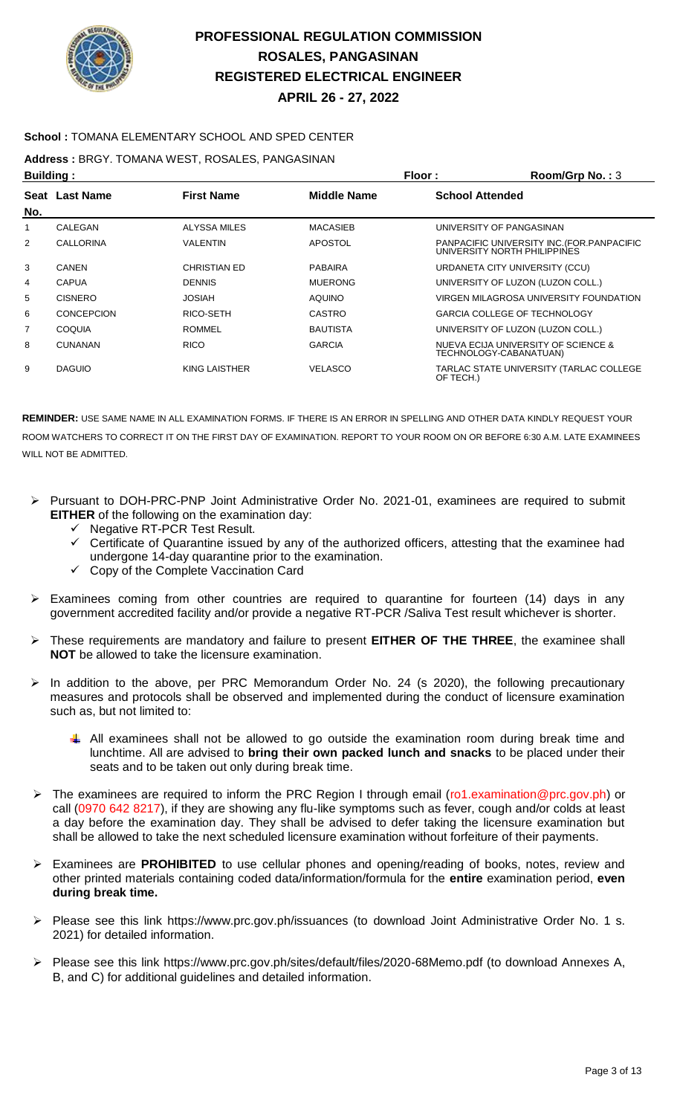

### **School :** TOMANA ELEMENTARY SCHOOL AND SPED CENTER

**Address :** BRGY. TOMANA WEST, ROSALES, PANGASINAN

| <b>Building:</b> |                       |                     | Floor:             | Room/Grp No.: $3$                                                           |
|------------------|-----------------------|---------------------|--------------------|-----------------------------------------------------------------------------|
| No.              | <b>Seat Last Name</b> | <b>First Name</b>   | <b>Middle Name</b> | <b>School Attended</b>                                                      |
| 1                | CALEGAN               | <b>ALYSSA MILES</b> | <b>MACASIEB</b>    | UNIVERSITY OF PANGASINAN                                                    |
| 2                | <b>CALLORINA</b>      | <b>VALENTIN</b>     | <b>APOSTOL</b>     | PANPACIFIC UNIVERSITY INC. (FOR. PANPACIFIC<br>UNIVERSITY NORTH PHILIPPINES |
| 3                | CANEN                 | <b>CHRISTIAN ED</b> | <b>PABAIRA</b>     | URDANETA CITY UNIVERSITY (CCU)                                              |
| 4                | <b>CAPUA</b>          | <b>DENNIS</b>       | <b>MUERONG</b>     | UNIVERSITY OF LUZON (LUZON COLL.)                                           |
| 5                | <b>CISNERO</b>        | <b>JOSIAH</b>       | <b>AQUINO</b>      | VIRGEN MILAGROSA UNIVERSITY FOUNDATION                                      |
| 6                | <b>CONCEPCION</b>     | RICO-SETH           | <b>CASTRO</b>      | <b>GARCIA COLLEGE OF TECHNOLOGY</b>                                         |
| $\overline{7}$   | <b>COQUIA</b>         | <b>ROMMEL</b>       | <b>BAUTISTA</b>    | UNIVERSITY OF LUZON (LUZON COLL.)                                           |
| 8                | <b>CUNANAN</b>        | <b>RICO</b>         | <b>GARCIA</b>      | NUEVA ECIJA UNIVERSITY OF SCIENCE &<br>TECHNOLOGY-CABANATUAN)               |
| 9                | <b>DAGUIO</b>         | KING LAISTHER       | <b>VELASCO</b>     | TARLAC STATE UNIVERSITY (TARLAC COLLEGE<br>OF TECH.)                        |

- Pursuant to DOH-PRC-PNP Joint Administrative Order No. 2021-01, examinees are required to submit **EITHER** of the following on the examination day:
	- Negative RT-PCR Test Result.
	- Certificate of Quarantine issued by any of the authorized officers, attesting that the examinee had undergone 14-day quarantine prior to the examination.
	- $\checkmark$  Copy of the Complete Vaccination Card
- $\triangleright$  Examinees coming from other countries are required to quarantine for fourteen (14) days in any government accredited facility and/or provide a negative RT-PCR /Saliva Test result whichever is shorter.
- These requirements are mandatory and failure to present **EITHER OF THE THREE**, the examinee shall **NOT** be allowed to take the licensure examination.
- $\triangleright$  In addition to the above, per PRC Memorandum Order No. 24 (s 2020), the following precautionary measures and protocols shall be observed and implemented during the conduct of licensure examination such as, but not limited to:
	- $\downarrow$  All examinees shall not be allowed to go outside the examination room during break time and lunchtime. All are advised to **bring their own packed lunch and snacks** to be placed under their seats and to be taken out only during break time.
- The examinees are required to inform the PRC Region I through email (ro1.examination@prc.gov.ph) or call (0970 642 8217), if they are showing any flu-like symptoms such as fever, cough and/or colds at least a day before the examination day. They shall be advised to defer taking the licensure examination but shall be allowed to take the next scheduled licensure examination without forfeiture of their payments.
- Examinees are **PROHIBITED** to use cellular phones and opening/reading of books, notes, review and other printed materials containing coded data/information/formula for the **entire** examination period, **even during break time.**
- Please see this link https://www.prc.gov.ph/issuances (to download Joint Administrative Order No. 1 s. 2021) for detailed information.
- Please see this link https://www.prc.gov.ph/sites/default/files/2020-68Memo.pdf (to download Annexes A, B, and C) for additional guidelines and detailed information.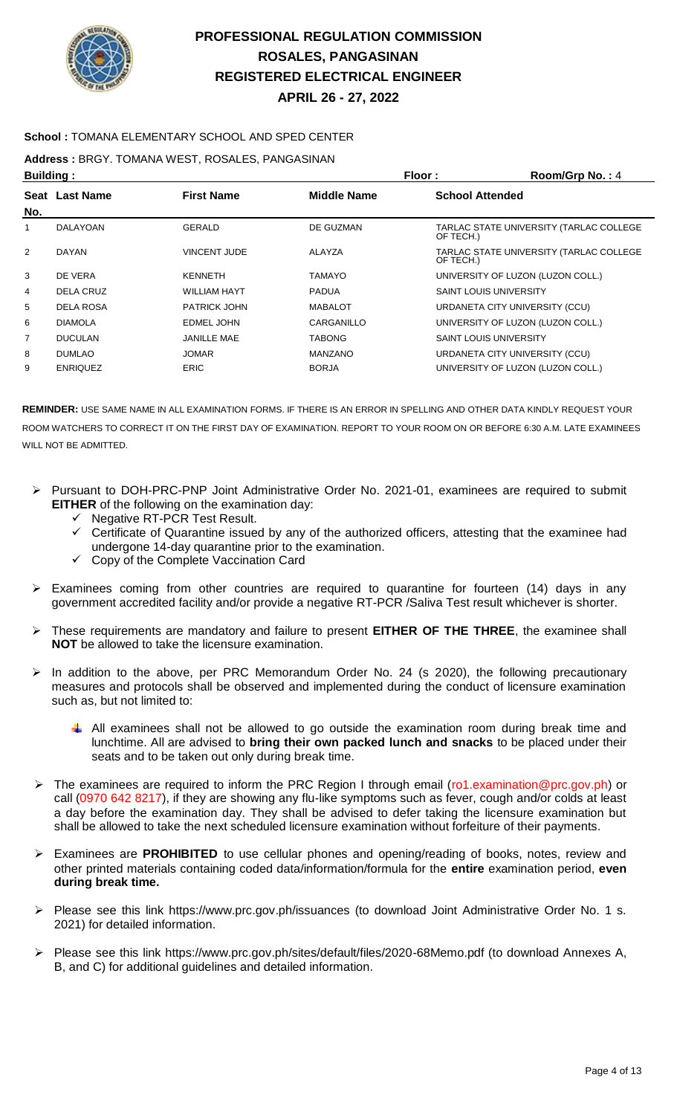

### **School :** TOMANA ELEMENTARY SCHOOL AND SPED CENTER

**Address :** BRGY. TOMANA WEST, ROSALES, PANGASINAN

| <b>Building:</b> |                 |                     | Floor:             | Room/Grp No.: 4                                      |
|------------------|-----------------|---------------------|--------------------|------------------------------------------------------|
| No.              | Seat Last Name  | <b>First Name</b>   | <b>Middle Name</b> | <b>School Attended</b>                               |
| 1                | DALAYOAN        | GERALD              | DE GUZMAN          | TARLAC STATE UNIVERSITY (TARLAC COLLEGE<br>OF TECH.) |
| 2                | DAYAN           | <b>VINCENT JUDE</b> | ALAYZA             | TARLAC STATE UNIVERSITY (TARLAC COLLEGE<br>OF TECH.) |
| 3                | DE VERA         | <b>KENNETH</b>      | TAMAYO             | UNIVERSITY OF LUZON (LUZON COLL.)                    |
| 4                | DELA CRUZ       | <b>WILLIAM HAYT</b> | <b>PADUA</b>       | <b>SAINT LOUIS UNIVERSITY</b>                        |
| 5                | DELA ROSA       | <b>PATRICK JOHN</b> | <b>MABALOT</b>     | URDANETA CITY UNIVERSITY (CCU)                       |
| 6                | <b>DIAMOLA</b>  | <b>EDMEL JOHN</b>   | CARGANILLO         | UNIVERSITY OF LUZON (LUZON COLL.)                    |
| $\overline{7}$   | <b>DUCULAN</b>  | <b>JANILLE MAE</b>  | TABONG             | <b>SAINT LOUIS UNIVERSITY</b>                        |
| 8                | <b>DUMLAO</b>   | <b>JOMAR</b>        | <b>MANZANO</b>     | URDANETA CITY UNIVERSITY (CCU)                       |
| 9                | <b>ENRIQUEZ</b> | <b>ERIC</b>         | <b>BORJA</b>       | UNIVERSITY OF LUZON (LUZON COLL.)                    |

- Pursuant to DOH-PRC-PNP Joint Administrative Order No. 2021-01, examinees are required to submit **EITHER** of the following on the examination day:
	- $\checkmark$  Negative RT-PCR Test Result.
	- Certificate of Quarantine issued by any of the authorized officers, attesting that the examinee had undergone 14-day quarantine prior to the examination.
	- $\checkmark$  Copy of the Complete Vaccination Card
- $\triangleright$  Examinees coming from other countries are required to quarantine for fourteen (14) days in any government accredited facility and/or provide a negative RT-PCR /Saliva Test result whichever is shorter.
- These requirements are mandatory and failure to present **EITHER OF THE THREE**, the examinee shall **NOT** be allowed to take the licensure examination.
- In addition to the above, per PRC Memorandum Order No. 24 (s 2020), the following precautionary measures and protocols shall be observed and implemented during the conduct of licensure examination such as, but not limited to:
	- $\downarrow$  All examinees shall not be allowed to go outside the examination room during break time and lunchtime. All are advised to **bring their own packed lunch and snacks** to be placed under their seats and to be taken out only during break time.
- The examinees are required to inform the PRC Region I through email (ro1.examination@prc.gov.ph) or call (0970 642 8217), if they are showing any flu-like symptoms such as fever, cough and/or colds at least a day before the examination day. They shall be advised to defer taking the licensure examination but shall be allowed to take the next scheduled licensure examination without forfeiture of their payments.
- Examinees are **PROHIBITED** to use cellular phones and opening/reading of books, notes, review and other printed materials containing coded data/information/formula for the **entire** examination period, **even during break time.**
- Please see this link https://www.prc.gov.ph/issuances (to download Joint Administrative Order No. 1 s. 2021) for detailed information.
- Please see this link https://www.prc.gov.ph/sites/default/files/2020-68Memo.pdf (to download Annexes A, B, and C) for additional guidelines and detailed information.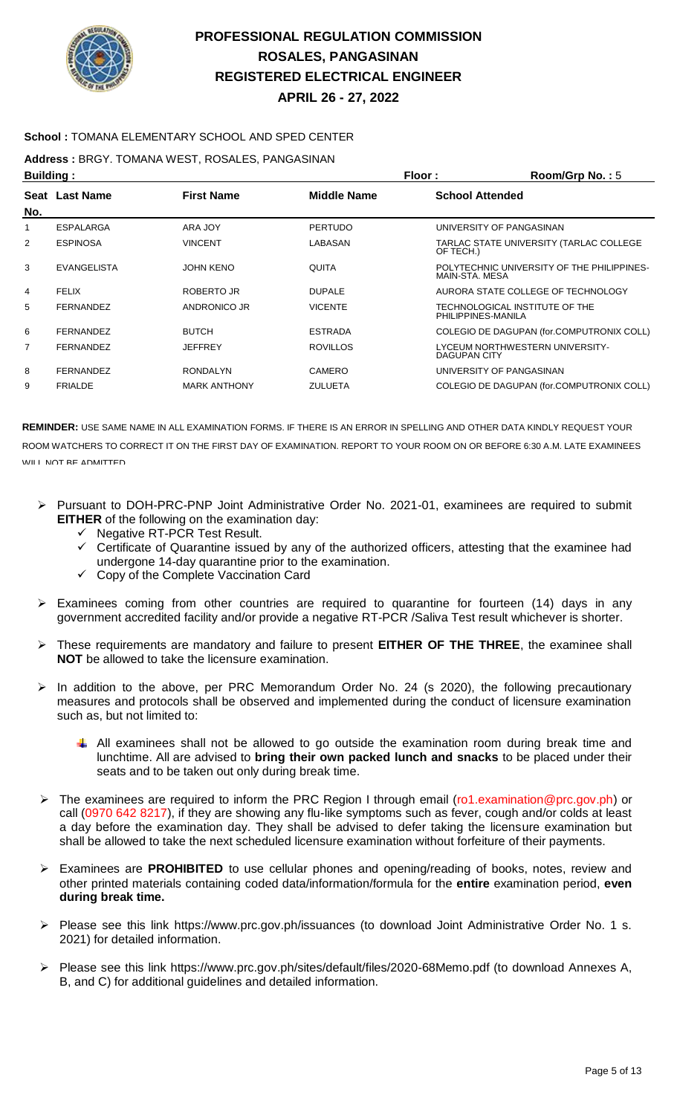

### **School :** TOMANA ELEMENTARY SCHOOL AND SPED CENTER

**Address :** BRGY. TOMANA WEST, ROSALES, PANGASINAN

| <b>Building:</b> |                    |                     | Floor:             | Room/Grp No.: 5                                              |
|------------------|--------------------|---------------------|--------------------|--------------------------------------------------------------|
| No.              | Seat Last Name     | <b>First Name</b>   | <b>Middle Name</b> | <b>School Attended</b>                                       |
|                  | ESPALARGA          | ARA JOY             | <b>PERTUDO</b>     | UNIVERSITY OF PANGASINAN                                     |
| $\overline{2}$   | <b>ESPINOSA</b>    | <b>VINCENT</b>      | LABASAN            | TARLAC STATE UNIVERSITY (TARLAC COLLEGE<br>OF TECH.)         |
| 3                | <b>EVANGELISTA</b> | <b>JOHN KENO</b>    | QUITA              | POLYTECHNIC UNIVERSITY OF THE PHILIPPINES-<br>MAIN-STA, MESA |
| 4                | <b>FELIX</b>       | ROBERTO JR          | <b>DUPALE</b>      | AURORA STATE COLLEGE OF TECHNOLOGY                           |
| 5                | <b>FERNANDEZ</b>   | ANDRONICO JR        | <b>VICENTE</b>     | TECHNOLOGICAL INSTITUTE OF THE<br>PHILIPPINES-MANILA         |
| 6                | <b>FERNANDEZ</b>   | <b>BUTCH</b>        | <b>ESTRADA</b>     | COLEGIO DE DAGUPAN (for.COMPUTRONIX COLL)                    |
| 7                | <b>FERNANDEZ</b>   | <b>JEFFREY</b>      | <b>ROVILLOS</b>    | LYCEUM NORTHWESTERN UNIVERSITY-<br><b>DAGUPAN CITY</b>       |
| 8                | <b>FERNANDEZ</b>   | <b>RONDALYN</b>     | CAMERO             | UNIVERSITY OF PANGASINAN                                     |
| 9                | <b>FRIALDE</b>     | <b>MARK ANTHONY</b> | <b>ZULUETA</b>     | COLEGIO DE DAGUPAN (for.COMPUTRONIX COLL)                    |

- Pursuant to DOH-PRC-PNP Joint Administrative Order No. 2021-01, examinees are required to submit **EITHER** of the following on the examination day:
	- Negative RT-PCR Test Result.
	- Certificate of Quarantine issued by any of the authorized officers, attesting that the examinee had undergone 14-day quarantine prior to the examination.
	- Copy of the Complete Vaccination Card
- $\triangleright$  Examinees coming from other countries are required to quarantine for fourteen (14) days in any government accredited facility and/or provide a negative RT-PCR /Saliva Test result whichever is shorter.
- These requirements are mandatory and failure to present **EITHER OF THE THREE**, the examinee shall **NOT** be allowed to take the licensure examination.
- $\triangleright$  In addition to the above, per PRC Memorandum Order No. 24 (s 2020), the following precautionary measures and protocols shall be observed and implemented during the conduct of licensure examination such as, but not limited to:
	- All examinees shall not be allowed to go outside the examination room during break time and lunchtime. All are advised to **bring their own packed lunch and snacks** to be placed under their seats and to be taken out only during break time.
- ▶ The examinees are required to inform the PRC Region I through email (ro1.examination@prc.gov.ph) or call (0970 642 8217), if they are showing any flu-like symptoms such as fever, cough and/or colds at least a day before the examination day. They shall be advised to defer taking the licensure examination but shall be allowed to take the next scheduled licensure examination without forfeiture of their payments.
- Examinees are **PROHIBITED** to use cellular phones and opening/reading of books, notes, review and other printed materials containing coded data/information/formula for the **entire** examination period, **even during break time.**
- Please see this link https://www.prc.gov.ph/issuances (to download Joint Administrative Order No. 1 s. 2021) for detailed information.
- Please see this link https://www.prc.gov.ph/sites/default/files/2020-68Memo.pdf (to download Annexes A, B, and C) for additional guidelines and detailed information.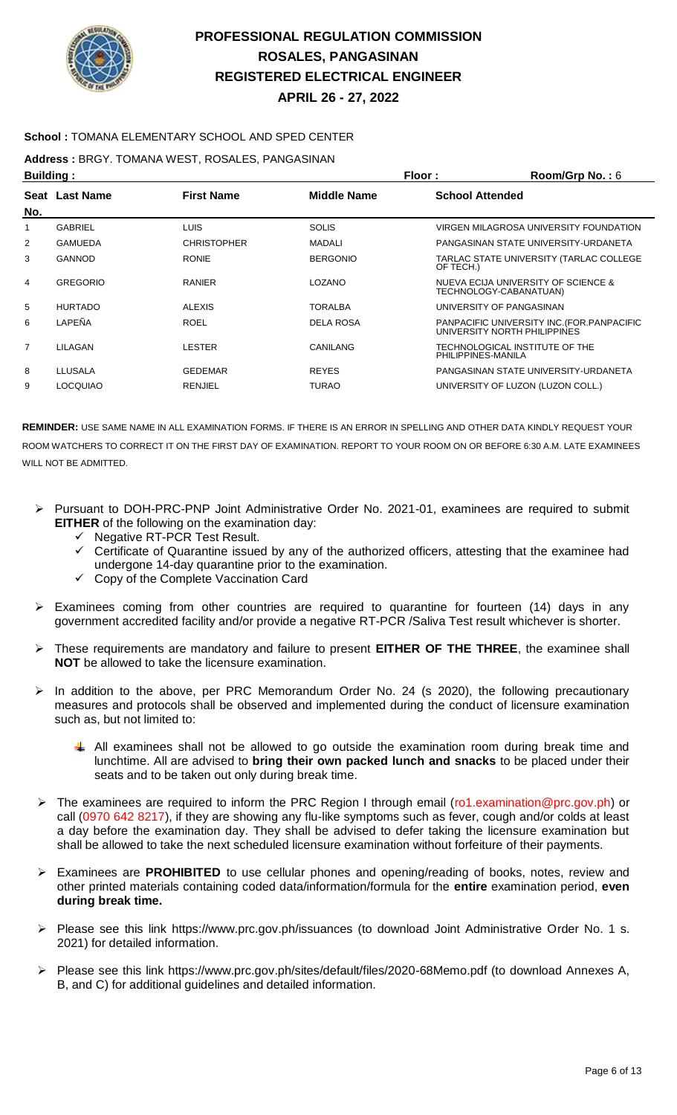

### **School :** TOMANA ELEMENTARY SCHOOL AND SPED CENTER

**Address :** BRGY. TOMANA WEST, ROSALES, PANGASINAN

| <b>Building:</b><br>Floor: |                 |                    |                  | Room/Grp No.: 6        |                                                                             |
|----------------------------|-----------------|--------------------|------------------|------------------------|-----------------------------------------------------------------------------|
| No.                        | Seat Last Name  | <b>First Name</b>  | Middle Name      | <b>School Attended</b> |                                                                             |
| 1                          | <b>GABRIEL</b>  | <b>LUIS</b>        | <b>SOLIS</b>     |                        | VIRGEN MILAGROSA UNIVERSITY FOUNDATION                                      |
| 2                          | <b>GAMUEDA</b>  | <b>CHRISTOPHER</b> | <b>MADALI</b>    |                        | PANGASINAN STATE UNIVERSITY-URDANETA                                        |
| 3                          | <b>GANNOD</b>   | <b>RONIE</b>       | <b>BERGONIO</b>  | OF TECH.)              | TARLAC STATE UNIVERSITY (TARLAC COLLEGE                                     |
| 4                          | <b>GREGORIO</b> | <b>RANIER</b>      | <b>LOZANO</b>    |                        | NUEVA ECIJA UNIVERSITY OF SCIENCE &<br>TECHNOLOGY-CABANATUAN)               |
| 5                          | <b>HURTADO</b>  | <b>ALEXIS</b>      | <b>TORALBA</b>   |                        | UNIVERSITY OF PANGASINAN                                                    |
| 6                          | LAPEÑA          | <b>ROEL</b>        | <b>DELA ROSA</b> |                        | PANPACIFIC UNIVERSITY INC. (FOR. PANPACIFIC<br>UNIVERSITY NORTH PHILIPPINES |
| $\overline{7}$             | LILAGAN         | LESTER             | CANILANG         | PHILIPPINES-MANILA     | TECHNOLOGICAL INSTITUTE OF THE                                              |
| 8                          | LLUSALA         | <b>GEDEMAR</b>     | <b>REYES</b>     |                        | PANGASINAN STATE UNIVERSITY-URDANETA                                        |
| 9                          | <b>LOCQUIAO</b> | <b>RENJIEL</b>     | <b>TURAO</b>     |                        | UNIVERSITY OF LUZON (LUZON COLL.)                                           |

- Pursuant to DOH-PRC-PNP Joint Administrative Order No. 2021-01, examinees are required to submit **EITHER** of the following on the examination day:
	- $\checkmark$  Negative RT-PCR Test Result.
	- $\checkmark$  Certificate of Quarantine issued by any of the authorized officers, attesting that the examinee had undergone 14-day quarantine prior to the examination.
	- Copy of the Complete Vaccination Card
- Examinees coming from other countries are required to quarantine for fourteen (14) days in any government accredited facility and/or provide a negative RT-PCR /Saliva Test result whichever is shorter.
- These requirements are mandatory and failure to present **EITHER OF THE THREE**, the examinee shall **NOT** be allowed to take the licensure examination.
- In addition to the above, per PRC Memorandum Order No. 24 (s 2020), the following precautionary measures and protocols shall be observed and implemented during the conduct of licensure examination such as, but not limited to:
	- All examinees shall not be allowed to go outside the examination room during break time and lunchtime. All are advised to **bring their own packed lunch and snacks** to be placed under their seats and to be taken out only during break time.
- ▶ The examinees are required to inform the PRC Region I through email (ro1.examination@prc.gov.ph) or call (0970 642 8217), if they are showing any flu-like symptoms such as fever, cough and/or colds at least a day before the examination day. They shall be advised to defer taking the licensure examination but shall be allowed to take the next scheduled licensure examination without forfeiture of their payments.
- Examinees are **PROHIBITED** to use cellular phones and opening/reading of books, notes, review and other printed materials containing coded data/information/formula for the **entire** examination period, **even during break time.**
- Please see this link https://www.prc.gov.ph/issuances (to download Joint Administrative Order No. 1 s. 2021) for detailed information.
- Please see this link https://www.prc.gov.ph/sites/default/files/2020-68Memo.pdf (to download Annexes A, B, and C) for additional guidelines and detailed information.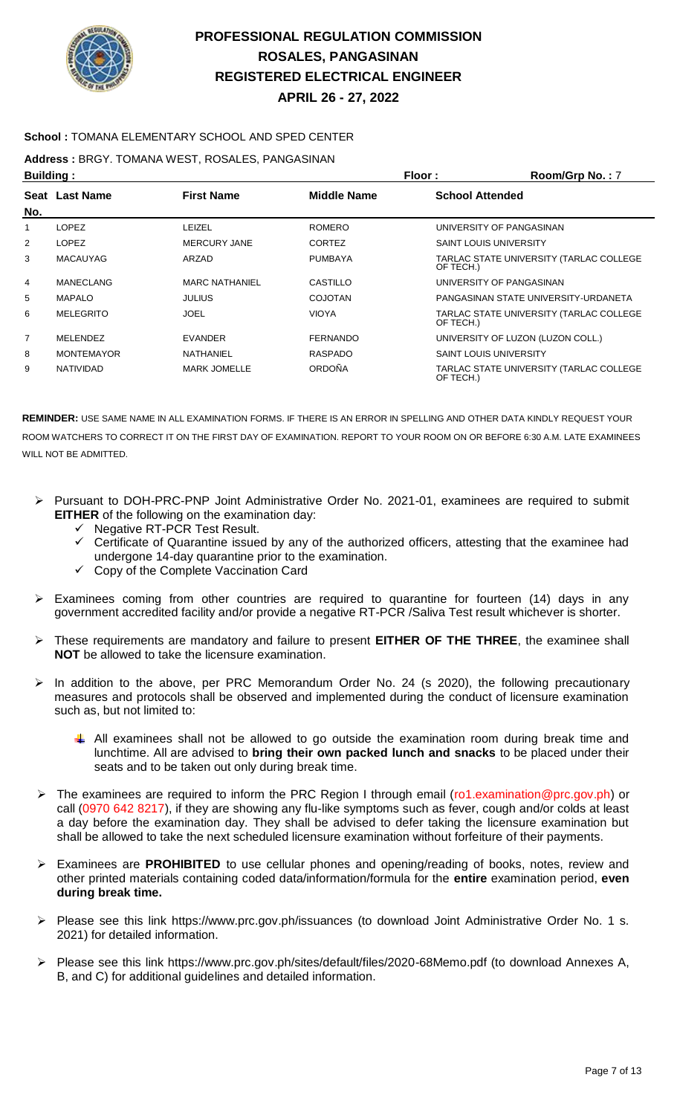

### **School :** TOMANA ELEMENTARY SCHOOL AND SPED CENTER

**Address :** BRGY. TOMANA WEST, ROSALES, PANGASINAN

| Floor:<br><b>Building:</b> |                       |                       | Room/Grp No.: 7    |                                                      |
|----------------------------|-----------------------|-----------------------|--------------------|------------------------------------------------------|
| No.                        | <b>Seat Last Name</b> | <b>First Name</b>     | <b>Middle Name</b> | <b>School Attended</b>                               |
| 1                          | <b>LOPEZ</b>          | LEIZEL                | <b>ROMERO</b>      | UNIVERSITY OF PANGASINAN                             |
| 2                          | <b>LOPEZ</b>          | <b>MERCURY JANE</b>   | <b>CORTEZ</b>      | <b>SAINT LOUIS UNIVERSITY</b>                        |
| 3                          | <b>MACAUYAG</b>       | ARZAD                 | <b>PUMBAYA</b>     | TARLAC STATE UNIVERSITY (TARLAC COLLEGE<br>OF TECH.) |
| 4                          | MANECLANG             | <b>MARC NATHANIEL</b> | CASTILLO           | UNIVERSITY OF PANGASINAN                             |
| 5                          | <b>MAPALO</b>         | <b>JULIUS</b>         | COJOTAN            | PANGASINAN STATE UNIVERSITY-URDANETA                 |
| 6                          | <b>MELEGRITO</b>      | JOEL                  | <b>VIOYA</b>       | TARLAC STATE UNIVERSITY (TARLAC COLLEGE<br>OF TECH.) |
| $\overline{7}$             | MELENDEZ              | <b>EVANDER</b>        | <b>FERNANDO</b>    | UNIVERSITY OF LUZON (LUZON COLL.)                    |
| 8                          | <b>MONTEMAYOR</b>     | NATHANIEL             | RASPADO            | <b>SAINT LOUIS UNIVERSITY</b>                        |
| 9                          | <b>NATIVIDAD</b>      | <b>MARK JOMELLE</b>   | <b>ORDOÑA</b>      | TARLAC STATE UNIVERSITY (TARLAC COLLEGE<br>OF TECH.) |

- Pursuant to DOH-PRC-PNP Joint Administrative Order No. 2021-01, examinees are required to submit **EITHER** of the following on the examination day:
	- Negative RT-PCR Test Result.
	- $\checkmark$  Certificate of Quarantine issued by any of the authorized officers, attesting that the examinee had undergone 14-day quarantine prior to the examination.
	- $\checkmark$  Copy of the Complete Vaccination Card
- Examinees coming from other countries are required to quarantine for fourteen (14) days in any government accredited facility and/or provide a negative RT-PCR /Saliva Test result whichever is shorter.
- These requirements are mandatory and failure to present **EITHER OF THE THREE**, the examinee shall **NOT** be allowed to take the licensure examination.
- In addition to the above, per PRC Memorandum Order No. 24 (s 2020), the following precautionary measures and protocols shall be observed and implemented during the conduct of licensure examination such as, but not limited to:
	- All examinees shall not be allowed to go outside the examination room during break time and lunchtime. All are advised to **bring their own packed lunch and snacks** to be placed under their seats and to be taken out only during break time.
- The examinees are required to inform the PRC Region I through email (ro1.examination@prc.gov.ph) or call (0970 642 8217), if they are showing any flu-like symptoms such as fever, cough and/or colds at least a day before the examination day. They shall be advised to defer taking the licensure examination but shall be allowed to take the next scheduled licensure examination without forfeiture of their payments.
- Examinees are **PROHIBITED** to use cellular phones and opening/reading of books, notes, review and other printed materials containing coded data/information/formula for the **entire** examination period, **even during break time.**
- Please see this link https://www.prc.gov.ph/issuances (to download Joint Administrative Order No. 1 s. 2021) for detailed information.
- Please see this link https://www.prc.gov.ph/sites/default/files/2020-68Memo.pdf (to download Annexes A, B, and C) for additional guidelines and detailed information.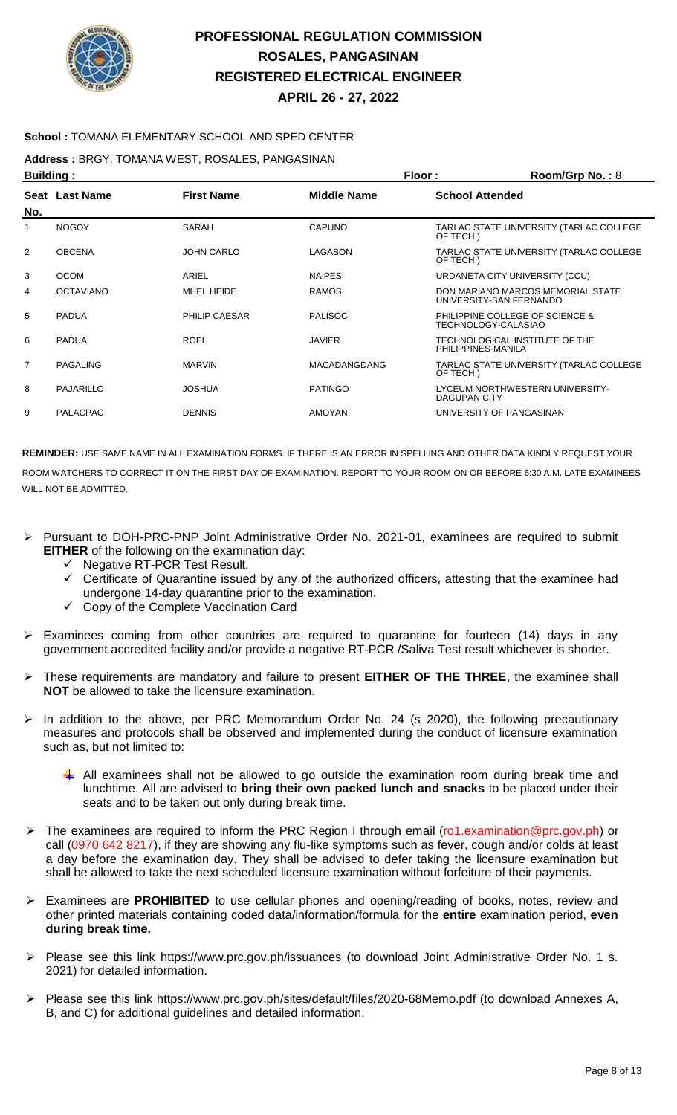

### **School :** TOMANA ELEMENTARY SCHOOL AND SPED CENTER

**Address :** BRGY. TOMANA WEST, ROSALES, PANGASINAN

|                | Floor:<br>Room/Grp No.: 8<br><b>Building:</b> |                      |                     |                                                              |  |
|----------------|-----------------------------------------------|----------------------|---------------------|--------------------------------------------------------------|--|
| No.            | Seat Last Name                                | <b>First Name</b>    | <b>Middle Name</b>  | <b>School Attended</b>                                       |  |
|                | <b>NOGOY</b>                                  | <b>SARAH</b>         | <b>CAPUNO</b>       | TARLAC STATE UNIVERSITY (TARLAC COLLEGE<br>OF TECH.)         |  |
| $\overline{2}$ | <b>OBCENA</b>                                 | <b>JOHN CARLO</b>    | LAGASON             | TARLAC STATE UNIVERSITY (TARLAC COLLEGE<br>OF TECH.)         |  |
| 3              | <b>OCOM</b>                                   | ARIEL                | <b>NAIPES</b>       | URDANETA CITY UNIVERSITY (CCU)                               |  |
| 4              | <b>OCTAVIANO</b>                              | MHEL HEIDE           | <b>RAMOS</b>        | DON MARIANO MARCOS MEMORIAL STATE<br>UNIVERSITY-SAN FERNANDO |  |
| 5              | <b>PADUA</b>                                  | <b>PHILIP CAESAR</b> | <b>PALISOC</b>      | PHILIPPINE COLLEGE OF SCIENCE &<br>TECHNOLOGY-CALASIAO       |  |
| 6              | <b>PADUA</b>                                  | <b>ROEL</b>          | <b>JAVIER</b>       | TECHNOLOGICAL INSTITUTE OF THE<br>PHILIPPINES-MANILA         |  |
| $\overline{7}$ | <b>PAGALING</b>                               | <b>MARVIN</b>        | <b>MACADANGDANG</b> | TARLAC STATE UNIVERSITY (TARLAC COLLEGE<br>OF TECH.)         |  |
| 8              | <b>PAJARILLO</b>                              | <b>JOSHUA</b>        | <b>PATINGO</b>      | LYCEUM NORTHWESTERN UNIVERSITY-<br><b>DAGUPAN CITY</b>       |  |
| 9              | <b>PALACPAC</b>                               | <b>DENNIS</b>        | <b>AMOYAN</b>       | UNIVERSITY OF PANGASINAN                                     |  |
|                |                                               |                      |                     |                                                              |  |

- Pursuant to DOH-PRC-PNP Joint Administrative Order No. 2021-01, examinees are required to submit **EITHER** of the following on the examination day:
	- $\checkmark$  Negative RT-PCR Test Result.
	- Certificate of Quarantine issued by any of the authorized officers, attesting that the examinee had undergone 14-day quarantine prior to the examination.
	- Copy of the Complete Vaccination Card
- Examinees coming from other countries are required to quarantine for fourteen (14) days in any government accredited facility and/or provide a negative RT-PCR /Saliva Test result whichever is shorter.
- These requirements are mandatory and failure to present **EITHER OF THE THREE**, the examinee shall **NOT** be allowed to take the licensure examination.
- In addition to the above, per PRC Memorandum Order No. 24 (s 2020), the following precautionary measures and protocols shall be observed and implemented during the conduct of licensure examination such as, but not limited to:
	- $\downarrow$  All examinees shall not be allowed to go outside the examination room during break time and lunchtime. All are advised to **bring their own packed lunch and snacks** to be placed under their seats and to be taken out only during break time.
- The examinees are required to inform the PRC Region I through email (ro1.examination@prc.gov.ph) or call (0970 642 8217), if they are showing any flu-like symptoms such as fever, cough and/or colds at least a day before the examination day. They shall be advised to defer taking the licensure examination but shall be allowed to take the next scheduled licensure examination without forfeiture of their payments.
- Examinees are **PROHIBITED** to use cellular phones and opening/reading of books, notes, review and other printed materials containing coded data/information/formula for the **entire** examination period, **even during break time.**
- Please see this link https://www.prc.gov.ph/issuances (to download Joint Administrative Order No. 1 s. 2021) for detailed information.
- Please see this link https://www.prc.gov.ph/sites/default/files/2020-68Memo.pdf (to download Annexes A, B, and C) for additional guidelines and detailed information.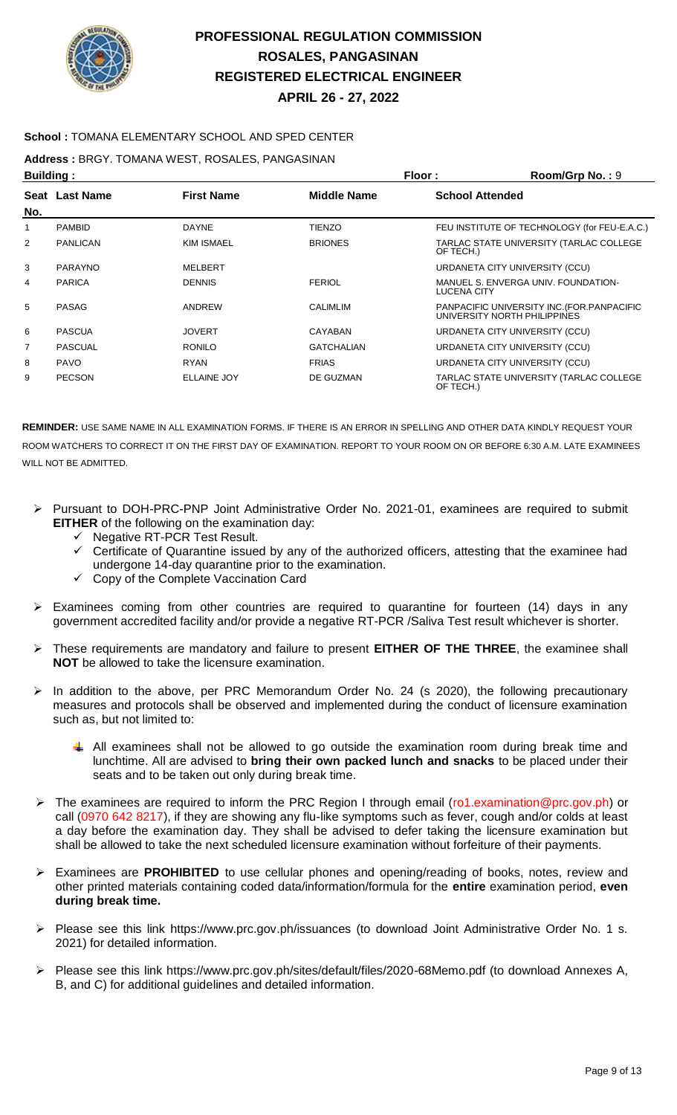

### **School :** TOMANA ELEMENTARY SCHOOL AND SPED CENTER

**Address :** BRGY. TOMANA WEST, ROSALES, PANGASINAN

| Floor:<br><b>Building:</b> |                 |                    | Room/Grp No.: 9    |                        |                                                                             |
|----------------------------|-----------------|--------------------|--------------------|------------------------|-----------------------------------------------------------------------------|
| No.                        | Seat Last Name  | <b>First Name</b>  | <b>Middle Name</b> | <b>School Attended</b> |                                                                             |
| 1                          | <b>PAMBID</b>   | <b>DAYNE</b>       | <b>TIENZO</b>      |                        | FEU INSTITUTE OF TECHNOLOGY (for FEU-E.A.C.)                                |
| $\overline{2}$             | <b>PANLICAN</b> | <b>KIM ISMAEL</b>  | <b>BRIONES</b>     | OF TECH.)              | TARLAC STATE UNIVERSITY (TARLAC COLLEGE                                     |
| 3                          | <b>PARAYNO</b>  | MELBERT            |                    |                        | URDANETA CITY UNIVERSITY (CCU)                                              |
| 4                          | <b>PARICA</b>   | <b>DENNIS</b>      | <b>FERIOL</b>      | LUCENA CITY            | MANUEL S. ENVERGA UNIV. FOUNDATION-                                         |
| 5                          | PASAG           | ANDREW             | <b>CALIMLIM</b>    |                        | PANPACIFIC UNIVERSITY INC. (FOR. PANPACIFIC<br>UNIVERSITY NORTH PHILIPPINES |
| 6                          | <b>PASCUA</b>   | <b>JOVERT</b>      | CAYABAN            |                        | URDANETA CITY UNIVERSITY (CCU)                                              |
| $\overline{7}$             | <b>PASCUAL</b>  | <b>RONILO</b>      | <b>GATCHALIAN</b>  |                        | URDANETA CITY UNIVERSITY (CCU)                                              |
| 8                          | <b>PAVO</b>     | <b>RYAN</b>        | <b>FRIAS</b>       |                        | URDANETA CITY UNIVERSITY (CCU)                                              |
| 9                          | <b>PECSON</b>   | <b>ELLAINE JOY</b> | DE GUZMAN          | OF TECH.)              | TARLAC STATE UNIVERSITY (TARLAC COLLEGE                                     |

- Pursuant to DOH-PRC-PNP Joint Administrative Order No. 2021-01, examinees are required to submit **EITHER** of the following on the examination day:
	- $\checkmark$  Negative RT-PCR Test Result.
	- $\checkmark$  Certificate of Quarantine issued by any of the authorized officers, attesting that the examinee had undergone 14-day quarantine prior to the examination.
	- Copy of the Complete Vaccination Card
- $\triangleright$  Examinees coming from other countries are required to quarantine for fourteen (14) days in any government accredited facility and/or provide a negative RT-PCR /Saliva Test result whichever is shorter.
- These requirements are mandatory and failure to present **EITHER OF THE THREE**, the examinee shall **NOT** be allowed to take the licensure examination.
- $\triangleright$  In addition to the above, per PRC Memorandum Order No. 24 (s 2020), the following precautionary measures and protocols shall be observed and implemented during the conduct of licensure examination such as, but not limited to:
	- $\downarrow$  All examinees shall not be allowed to go outside the examination room during break time and lunchtime. All are advised to **bring their own packed lunch and snacks** to be placed under their seats and to be taken out only during break time.
- ▶ The examinees are required to inform the PRC Region I through email (ro1.examination@prc.gov.ph) or call (0970 642 8217), if they are showing any flu-like symptoms such as fever, cough and/or colds at least a day before the examination day. They shall be advised to defer taking the licensure examination but shall be allowed to take the next scheduled licensure examination without forfeiture of their payments.
- Examinees are **PROHIBITED** to use cellular phones and opening/reading of books, notes, review and other printed materials containing coded data/information/formula for the **entire** examination period, **even during break time.**
- $\triangleright$  Please see this link https://www.prc.gov.ph/issuances (to download Joint Administrative Order No. 1 s. 2021) for detailed information.
- Please see this link https://www.prc.gov.ph/sites/default/files/2020-68Memo.pdf (to download Annexes A, B, and C) for additional guidelines and detailed information.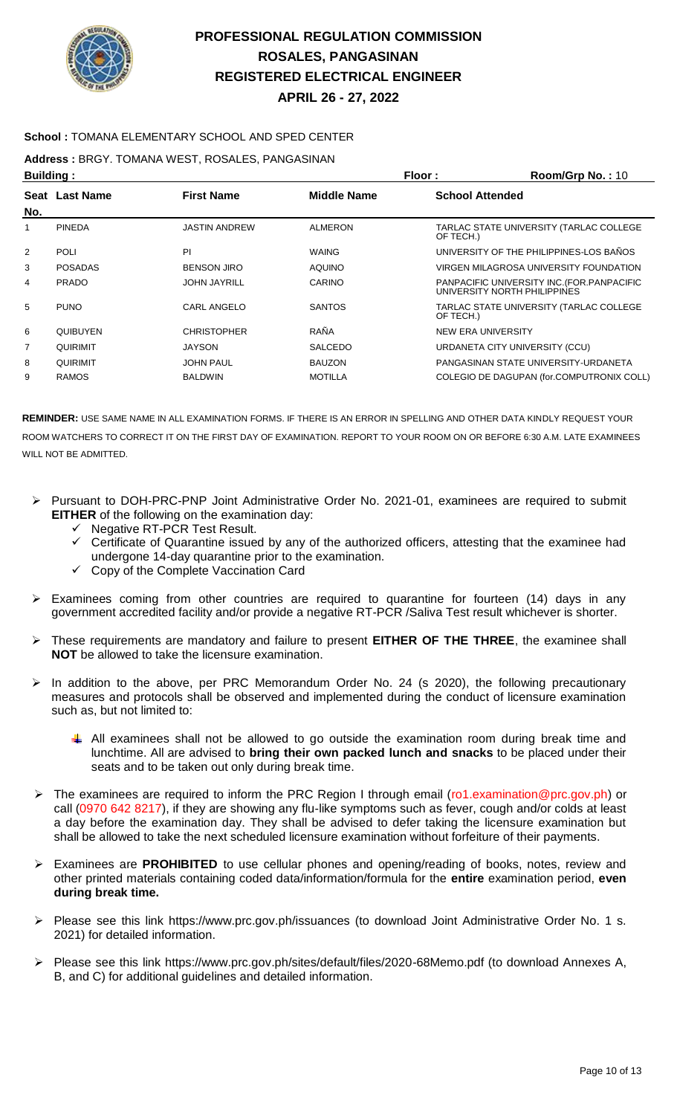

### **School :** TOMANA ELEMENTARY SCHOOL AND SPED CENTER

**Address :** BRGY. TOMANA WEST, ROSALES, PANGASINAN

| <b>Building:</b> |                 |                      | Floor:             | Room/Grp No.: 10       |                                                                             |
|------------------|-----------------|----------------------|--------------------|------------------------|-----------------------------------------------------------------------------|
|                  | Seat Last Name  | <b>First Name</b>    | <b>Middle Name</b> | <b>School Attended</b> |                                                                             |
| No.              |                 |                      |                    |                        |                                                                             |
| 1                | <b>PINEDA</b>   | <b>JASTIN ANDREW</b> | <b>ALMERON</b>     | OF TECH.)              | TARLAC STATE UNIVERSITY (TARLAC COLLEGE                                     |
| 2                | <b>POLI</b>     | PI                   | <b>WAING</b>       |                        | UNIVERSITY OF THE PHILIPPINES-LOS BAÑOS                                     |
| 3                | <b>POSADAS</b>  | <b>BENSON JIRO</b>   | <b>AQUINO</b>      |                        | VIRGEN MILAGROSA UNIVERSITY FOUNDATION                                      |
| 4                | <b>PRADO</b>    | <b>JOHN JAYRILL</b>  | CARINO             |                        | PANPACIFIC UNIVERSITY INC. (FOR. PANPACIFIC<br>UNIVERSITY NORTH PHILIPPINES |
| 5                | <b>PUNO</b>     | CARL ANGELO          | <b>SANTOS</b>      | OF TECH.)              | TARLAC STATE UNIVERSITY (TARLAC COLLEGE                                     |
| 6                | <b>QUIBUYEN</b> | <b>CHRISTOPHER</b>   | RAÑA               | NEW ERA UNIVERSITY     |                                                                             |
| 7                | QUIRIMIT        | <b>JAYSON</b>        | <b>SALCEDO</b>     |                        | URDANETA CITY UNIVERSITY (CCU)                                              |
| 8                | <b>QUIRIMIT</b> | <b>JOHN PAUL</b>     | <b>BAUZON</b>      |                        | PANGASINAN STATE UNIVERSITY-URDANETA                                        |
| 9                | <b>RAMOS</b>    | <b>BALDWIN</b>       | <b>MOTILLA</b>     |                        | COLEGIO DE DAGUPAN (for.COMPUTRONIX COLL)                                   |

- Pursuant to DOH-PRC-PNP Joint Administrative Order No. 2021-01, examinees are required to submit **EITHER** of the following on the examination day:
	- Negative RT-PCR Test Result.
	- Certificate of Quarantine issued by any of the authorized officers, attesting that the examinee had undergone 14-day quarantine prior to the examination.
	- Copy of the Complete Vaccination Card
- $\triangleright$  Examinees coming from other countries are required to quarantine for fourteen (14) days in any government accredited facility and/or provide a negative RT-PCR /Saliva Test result whichever is shorter.
- These requirements are mandatory and failure to present **EITHER OF THE THREE**, the examinee shall **NOT** be allowed to take the licensure examination.
- $\triangleright$  In addition to the above, per PRC Memorandum Order No. 24 (s 2020), the following precautionary measures and protocols shall be observed and implemented during the conduct of licensure examination such as, but not limited to:
	- All examinees shall not be allowed to go outside the examination room during break time and lunchtime. All are advised to **bring their own packed lunch and snacks** to be placed under their seats and to be taken out only during break time.
- The examinees are required to inform the PRC Region I through email (ro1.examination@prc.gov.ph) or call (0970 642 8217), if they are showing any flu-like symptoms such as fever, cough and/or colds at least a day before the examination day. They shall be advised to defer taking the licensure examination but shall be allowed to take the next scheduled licensure examination without forfeiture of their payments.
- Examinees are **PROHIBITED** to use cellular phones and opening/reading of books, notes, review and other printed materials containing coded data/information/formula for the **entire** examination period, **even during break time.**
- Please see this link https://www.prc.gov.ph/issuances (to download Joint Administrative Order No. 1 s. 2021) for detailed information.
- Please see this link https://www.prc.gov.ph/sites/default/files/2020-68Memo.pdf (to download Annexes A, B, and C) for additional guidelines and detailed information.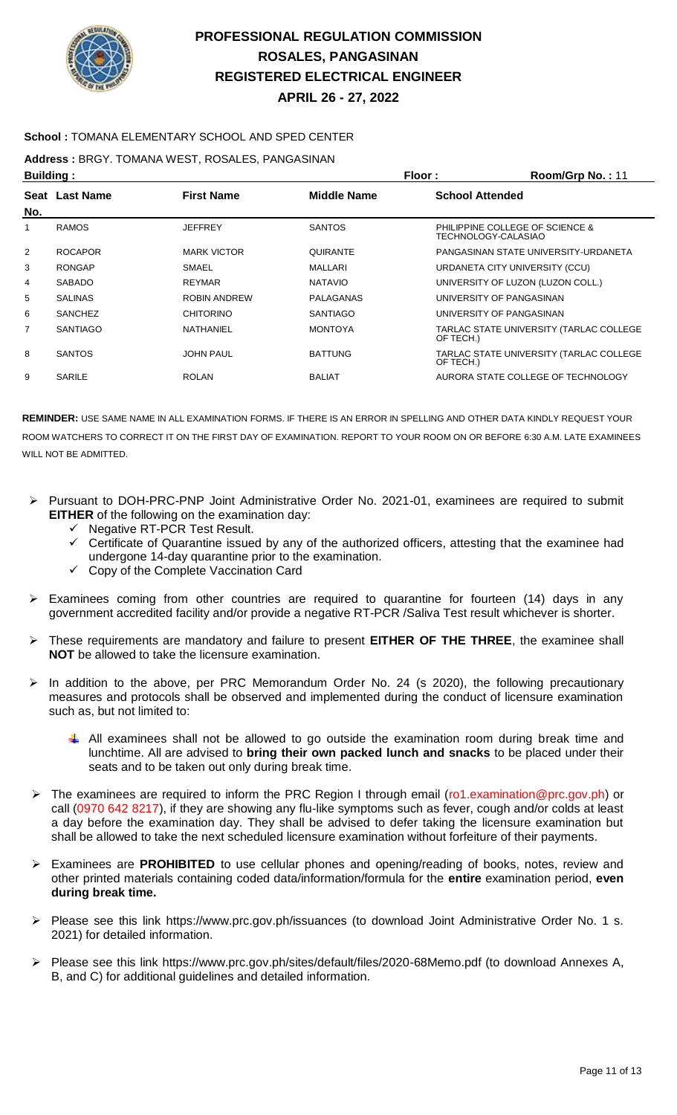

### **School :** TOMANA ELEMENTARY SCHOOL AND SPED CENTER

**Address :** BRGY. TOMANA WEST, ROSALES, PANGASINAN

| <b>Building:</b> |                 |                     |                  | Floor:                 | Room/Grp No.: 11                        |
|------------------|-----------------|---------------------|------------------|------------------------|-----------------------------------------|
|                  | Seat Last Name  | <b>First Name</b>   | Middle Name      | <b>School Attended</b> |                                         |
| No.              |                 |                     |                  |                        |                                         |
| 1                | <b>RAMOS</b>    | <b>JEFFREY</b>      | <b>SANTOS</b>    | TECHNOLOGY-CALASIAO    | PHILIPPINE COLLEGE OF SCIENCE &         |
| 2                | <b>ROCAPOR</b>  | <b>MARK VICTOR</b>  | <b>QUIRANTE</b>  |                        | PANGASINAN STATE UNIVERSITY-URDANETA    |
| 3                | <b>RONGAP</b>   | SMAEL               | MALLARI          |                        | URDANETA CITY UNIVERSITY (CCU)          |
| 4                | <b>SABADO</b>   | <b>REYMAR</b>       | <b>NATAVIO</b>   |                        | UNIVERSITY OF LUZON (LUZON COLL.)       |
| 5                | <b>SALINAS</b>  | <b>ROBIN ANDREW</b> | <b>PALAGANAS</b> |                        | UNIVERSITY OF PANGASINAN                |
| 6                | <b>SANCHEZ</b>  | <b>CHITORINO</b>    | <b>SANTIAGO</b>  |                        | UNIVERSITY OF PANGASINAN                |
| 7                | <b>SANTIAGO</b> | NATHANIEL           | <b>MONTOYA</b>   | OF TECH.)              | TARLAC STATE UNIVERSITY (TARLAC COLLEGE |
| 8                | <b>SANTOS</b>   | <b>JOHN PAUL</b>    | <b>BATTUNG</b>   | OF TECH.)              | TARLAC STATE UNIVERSITY (TARLAC COLLEGE |
| 9                | SARILE          | <b>ROLAN</b>        | <b>BALIAT</b>    |                        | AURORA STATE COLLEGE OF TECHNOLOGY      |

- Pursuant to DOH-PRC-PNP Joint Administrative Order No. 2021-01, examinees are required to submit **EITHER** of the following on the examination day:
	- Negative RT-PCR Test Result.
	- Certificate of Quarantine issued by any of the authorized officers, attesting that the examinee had undergone 14-day quarantine prior to the examination.
	- $\checkmark$  Copy of the Complete Vaccination Card
- $\triangleright$  Examinees coming from other countries are required to quarantine for fourteen (14) days in any government accredited facility and/or provide a negative RT-PCR /Saliva Test result whichever is shorter.
- These requirements are mandatory and failure to present **EITHER OF THE THREE**, the examinee shall **NOT** be allowed to take the licensure examination.
- $\triangleright$  In addition to the above, per PRC Memorandum Order No. 24 (s 2020), the following precautionary measures and protocols shall be observed and implemented during the conduct of licensure examination such as, but not limited to:
	- All examinees shall not be allowed to go outside the examination room during break time and lunchtime. All are advised to **bring their own packed lunch and snacks** to be placed under their seats and to be taken out only during break time.
- The examinees are required to inform the PRC Region I through email (ro1.examination@prc.gov.ph) or call (0970 642 8217), if they are showing any flu-like symptoms such as fever, cough and/or colds at least a day before the examination day. They shall be advised to defer taking the licensure examination but shall be allowed to take the next scheduled licensure examination without forfeiture of their payments.
- Examinees are **PROHIBITED** to use cellular phones and opening/reading of books, notes, review and other printed materials containing coded data/information/formula for the **entire** examination period, **even during break time.**
- Please see this link https://www.prc.gov.ph/issuances (to download Joint Administrative Order No. 1 s. 2021) for detailed information.
- Please see this link https://www.prc.gov.ph/sites/default/files/2020-68Memo.pdf (to download Annexes A, B, and C) for additional guidelines and detailed information.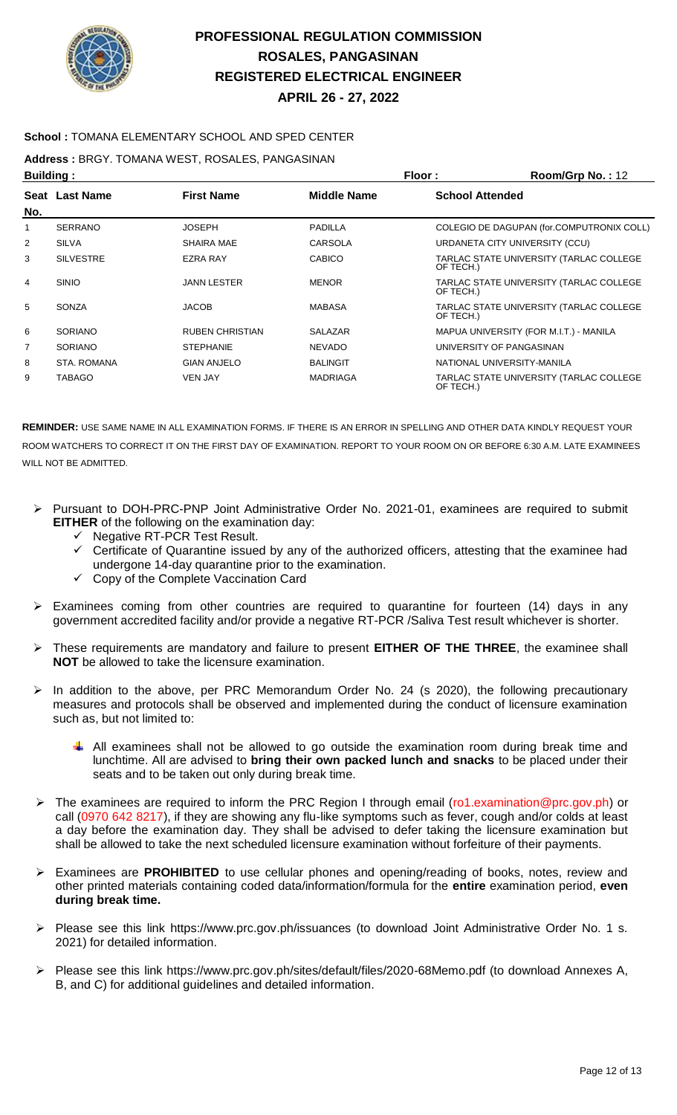

### **School :** TOMANA ELEMENTARY SCHOOL AND SPED CENTER

**Address :** BRGY. TOMANA WEST, ROSALES, PANGASINAN

| <b>Building:</b> |                  |                        | Floor:             | Room/Grp No.: 12       |                                           |
|------------------|------------------|------------------------|--------------------|------------------------|-------------------------------------------|
|                  | Seat Last Name   | <b>First Name</b>      | <b>Middle Name</b> | <b>School Attended</b> |                                           |
| No.              |                  |                        |                    |                        |                                           |
|                  | <b>SERRANO</b>   | <b>JOSEPH</b>          | <b>PADILLA</b>     |                        | COLEGIO DE DAGUPAN (for.COMPUTRONIX COLL) |
| 2                | <b>SILVA</b>     | <b>SHAIRA MAE</b>      | CARSOLA            |                        | URDANETA CITY UNIVERSITY (CCU)            |
| 3                | <b>SILVESTRE</b> | <b>EZRA RAY</b>        | <b>CABICO</b>      | OF TECH.)              | TARLAC STATE UNIVERSITY (TARLAC COLLEGE   |
| 4                | <b>SINIO</b>     | <b>JANN LESTER</b>     | <b>MENOR</b>       | OF TECH.)              | TARLAC STATE UNIVERSITY (TARLAC COLLEGE   |
| 5                | SONZA            | <b>JACOB</b>           | <b>MABASA</b>      | OF TECH.)              | TARLAC STATE UNIVERSITY (TARLAC COLLEGE   |
| 6                | <b>SORIANO</b>   | <b>RUBEN CHRISTIAN</b> | <b>SALAZAR</b>     |                        | MAPUA UNIVERSITY (FOR M.I.T.) - MANILA    |
| 7                | <b>SORIANO</b>   | <b>STEPHANIE</b>       | <b>NEVADO</b>      |                        | UNIVERSITY OF PANGASINAN                  |
| 8                | STA, ROMANA      | <b>GIAN ANJELO</b>     | <b>BALINGIT</b>    |                        | NATIONAL UNIVERSITY-MANILA                |
| 9                | TABAGO           | <b>VEN JAY</b>         | <b>MADRIAGA</b>    | OF TECH.)              | TARLAC STATE UNIVERSITY (TARLAC COLLEGE   |

- Pursuant to DOH-PRC-PNP Joint Administrative Order No. 2021-01, examinees are required to submit **EITHER** of the following on the examination day:
	- $\checkmark$  Negative RT-PCR Test Result.
	- $\checkmark$  Certificate of Quarantine issued by any of the authorized officers, attesting that the examinee had undergone 14-day quarantine prior to the examination.
	- $\checkmark$  Copy of the Complete Vaccination Card
- $\geq$  Examinees coming from other countries are required to quarantine for fourteen (14) days in any government accredited facility and/or provide a negative RT-PCR /Saliva Test result whichever is shorter.
- These requirements are mandatory and failure to present **EITHER OF THE THREE**, the examinee shall **NOT** be allowed to take the licensure examination.
- $\triangleright$  In addition to the above, per PRC Memorandum Order No. 24 (s 2020), the following precautionary measures and protocols shall be observed and implemented during the conduct of licensure examination such as, but not limited to:
	- $\downarrow$  All examinees shall not be allowed to go outside the examination room during break time and lunchtime. All are advised to **bring their own packed lunch and snacks** to be placed under their seats and to be taken out only during break time.
- ▶ The examinees are required to inform the PRC Region I through email (ro1.examination@prc.gov.ph) or call (0970 642 8217), if they are showing any flu-like symptoms such as fever, cough and/or colds at least a day before the examination day. They shall be advised to defer taking the licensure examination but shall be allowed to take the next scheduled licensure examination without forfeiture of their payments.
- Examinees are **PROHIBITED** to use cellular phones and opening/reading of books, notes, review and other printed materials containing coded data/information/formula for the **entire** examination period, **even during break time.**
- Please see this link https://www.prc.gov.ph/issuances (to download Joint Administrative Order No. 1 s. 2021) for detailed information.
- Please see this link https://www.prc.gov.ph/sites/default/files/2020-68Memo.pdf (to download Annexes A, B, and C) for additional guidelines and detailed information.